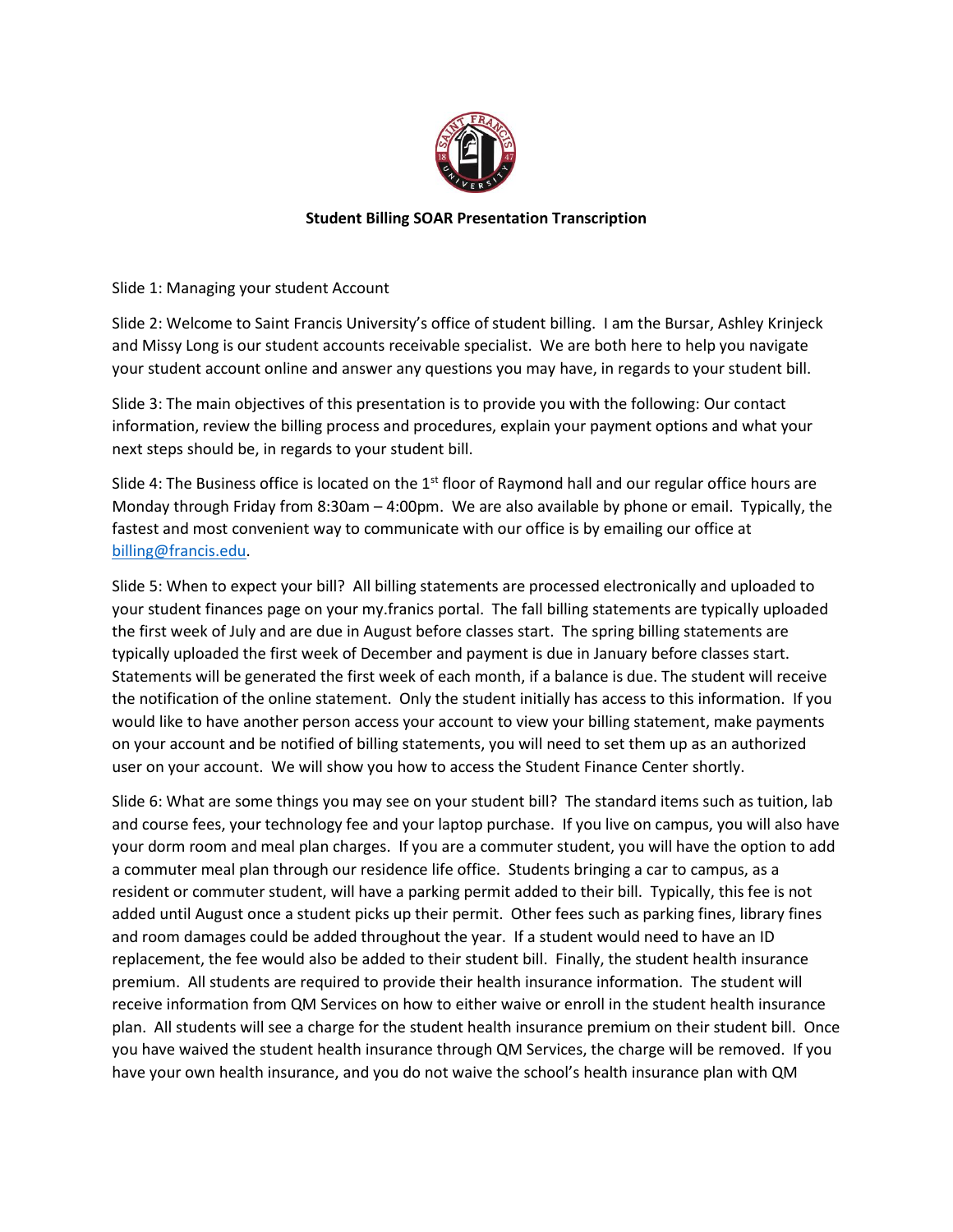

## **Student Billing SOAR Presentation Transcription**

Slide 1: Managing your student Account

Slide 2: Welcome to Saint Francis University's office of student billing. I am the Bursar, Ashley Krinjeck and Missy Long is our student accounts receivable specialist. We are both here to help you navigate your student account online and answer any questions you may have, in regards to your student bill.

Slide 3: The main objectives of this presentation is to provide you with the following: Our contact information, review the billing process and procedures, explain your payment options and what your next steps should be, in regards to your student bill.

Slide 4: The Business office is located on the  $1<sup>st</sup>$  floor of Raymond hall and our regular office hours are Monday through Friday from 8:30am – 4:00pm. We are also available by phone or email. Typically, the fastest and most convenient way to communicate with our office is by emailing our office at [billing@francis.edu.](mailto:billing@francis.edu)

Slide 5: When to expect your bill? All billing statements are processed electronically and uploaded to your student finances page on your my.franics portal. The fall billing statements are typically uploaded the first week of July and are due in August before classes start. The spring billing statements are typically uploaded the first week of December and payment is due in January before classes start. Statements will be generated the first week of each month, if a balance is due. The student will receive the notification of the online statement. Only the student initially has access to this information. If you would like to have another person access your account to view your billing statement, make payments on your account and be notified of billing statements, you will need to set them up as an authorized user on your account. We will show you how to access the Student Finance Center shortly.

Slide 6: What are some things you may see on your student bill? The standard items such as tuition, lab and course fees, your technology fee and your laptop purchase. If you live on campus, you will also have your dorm room and meal plan charges. If you are a commuter student, you will have the option to add a commuter meal plan through our residence life office. Students bringing a car to campus, as a resident or commuter student, will have a parking permit added to their bill. Typically, this fee is not added until August once a student picks up their permit. Other fees such as parking fines, library fines and room damages could be added throughout the year. If a student would need to have an ID replacement, the fee would also be added to their student bill. Finally, the student health insurance premium. All students are required to provide their health insurance information. The student will receive information from QM Services on how to either waive or enroll in the student health insurance plan. All students will see a charge for the student health insurance premium on their student bill. Once you have waived the student health insurance through QM Services, the charge will be removed. If you have your own health insurance, and you do not waive the school's health insurance plan with QM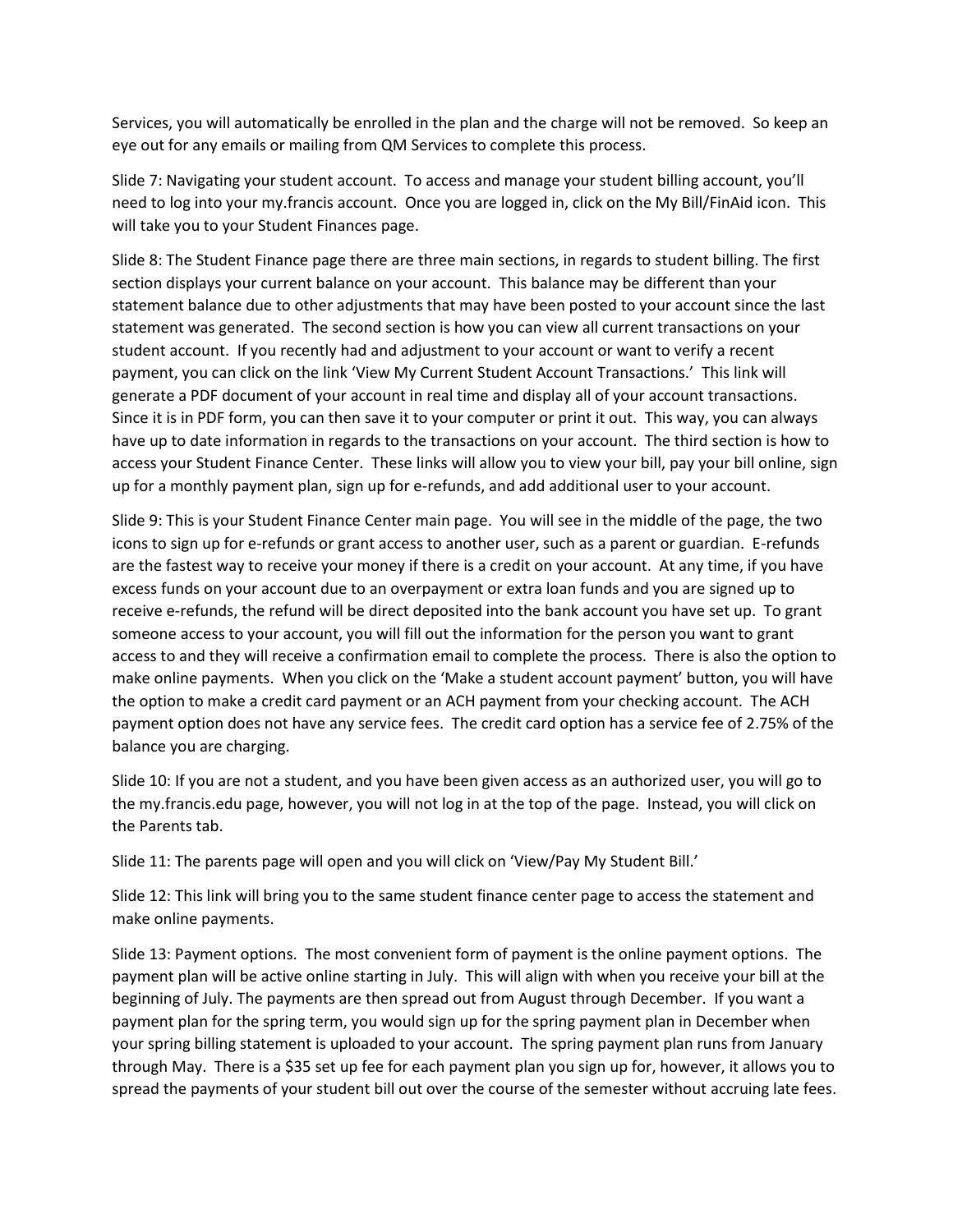Services, you will automatically be enrolled in the plan and the charge will not be removed. So keep an eye out for any emails or mailing from QM Services to complete this process.

Slide 7: Navigating your student account. To access and manage your student billing account, you'll need to log into your my.francis account. Once you are logged in, click on the My Bill/FinAid icon. This will take you to your Student Finances page.

Slide 8: The Student Finance page there are three main sections, in regards to student billing. The first section displays your current balance on your account. This balance may be different than your statement balance due to other adjustments that may have been posted to your account since the last statement was generated. The second section is how you can view all current transactions on your student account. If you recently had and adjustment to your account or want to verify a recent payment, you can click on the link 'View My Current Student Account Transactions.' This link will generate a PDF document of your account in real time and display all of your account transactions. Since it is in PDF form, you can then save it to your computer or print it out. This way, you can always have up to date information in regards to the transactions on your account. The third section is how to access your Student Finance Center. These links will allow you to view your bill, pay your bill online, sign up for a monthly payment plan, sign up for e-refunds, and add additional user to your account.

Slide 9: This is your Student Finance Center main page. You will see in the middle of the page, the two icons to sign up for e-refunds or grant access to another user, such as a parent or guardian. E-refunds are the fastest way to receive your money if there is a credit on your account. At any time, if you have excess funds on your account due to an overpayment or extra loan funds and you are signed up to receive e-refunds, the refund will be direct deposited into the bank account you have set up. To grant someone access to your account, you will fill out the information for the person you want to grant access to and they will receive a confirmation email to complete the process. There is also the option to make online payments. When you click on the 'Make a student account payment' button, you will have the option to make a credit card payment or an ACH payment from your checking account. The ACH payment option does not have any service fees. The credit card option has a service fee of 2.75% of the balance you are charging.

Slide 10: If you are not a student, and you have been given access as an authorized user, you will go to the my.francis.edu page, however, you will not log in at the top of the page. Instead, you will click on the Parents tab.

Slide 11: The parents page will open and you will click on 'View/Pay My Student Bill.'

Slide 12: This link will bring you to the same student finance center page to access the statement and make online payments.

Slide 13: Payment options. The most convenient form of payment is the online payment options. The payment plan will be active online starting in July. This will align with when you receive your bill at the beginning of July. The payments are then spread out from August through December. If you want a payment plan for the spring term, you would sign up for the spring payment plan in December when your spring billing statement is uploaded to your account. The spring payment plan runs from January through May. There is a \$35 set up fee for each payment plan you sign up for, however, it allows you to spread the payments of your student bill out over the course of the semester without accruing late fees.